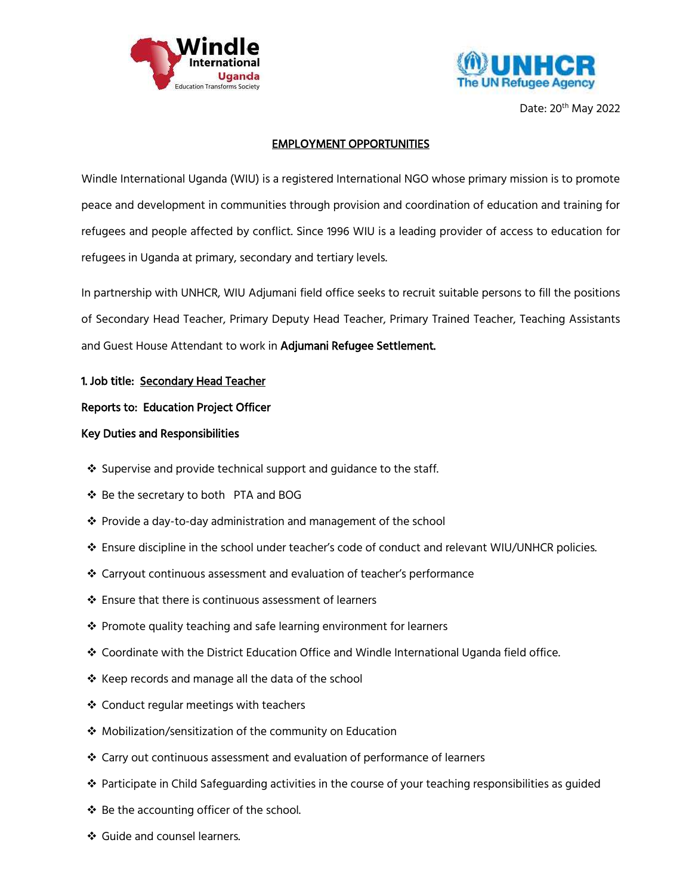



Date: 20th May 2022

# EMPLOYMENT OPPORTUNITIES

Windle International Uganda (WIU) is a registered International NGO whose primary mission is to promote peace and development in communities through provision and coordination of education and training for refugees and people affected by conflict. Since 1996 WIU is a leading provider of access to education for refugees in Uganda at primary, secondary and tertiary levels.

In partnership with UNHCR, WIU Adjumani field office seeks to recruit suitable persons to fill the positions of Secondary Head Teacher, Primary Deputy Head Teacher, Primary Trained Teacher, Teaching Assistants and Guest House Attendant to work in Adjumani Refugee Settlement.

## 1. Job title: Secondary Head Teacher

## Reports to: Education Project Officer

## Key Duties and Responsibilities

- $\cdot$  Supervise and provide technical support and guidance to the staff.
- $\clubsuit$  Be the secretary to both PTA and BOG
- Provide a day-to-day administration and management of the school
- Ensure discipline in the school under teacher's code of conduct and relevant WIU/UNHCR policies.
- Carryout continuous assessment and evaluation of teacher's performance
- ❖ Ensure that there is continuous assessment of learners
- $\cdot$  Promote quality teaching and safe learning environment for learners
- Coordinate with the District Education Office and Windle International Uganda field office.
- ❖ Keep records and manage all the data of the school
- ❖ Conduct regular meetings with teachers
- Mobilization/sensitization of the community on Education
- Carry out continuous assessment and evaluation of performance of learners
- $\clubsuit$  Participate in Child Safeguarding activities in the course of your teaching responsibilities as guided
- ❖ Be the accounting officer of the school.
- ❖ Guide and counsel learners.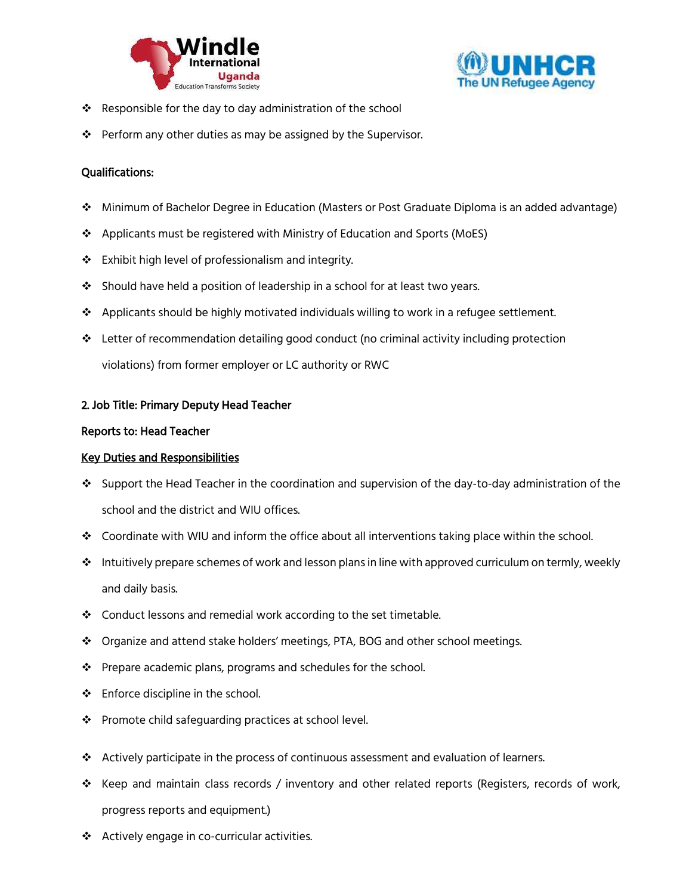



- $\clubsuit$  Responsible for the day to day administration of the school
- $\mathbf{\hat{P}}$  Perform any other duties as may be assigned by the Supervisor.

### Qualifications:

- Minimum of Bachelor Degree in Education (Masters or Post Graduate Diploma is an added advantage)
- Applicants must be registered with Ministry of Education and Sports (MoES)
- Exhibit high level of professionalism and integrity.
- Should have held a position of leadership in a school for at least two years.
- $\clubsuit$  Applicants should be highly motivated individuals willing to work in a refugee settlement.
- $\div$  Letter of recommendation detailing good conduct (no criminal activity including protection violations) from former employer or LC authority or RWC

#### 2. Job Title: Primary Deputy Head Teacher

#### Reports to: Head Teacher

#### Key Duties and Responsibilities

- Support the Head Teacher in the coordination and supervision of the day-to-day administration of the school and the district and WIU offices.
- Coordinate with WIU and inform the office about all interventions taking place within the school.
- $\cdot \cdot$  Intuitively prepare schemes of work and lesson plans in line with approved curriculum on termly, weekly and daily basis.
- ❖ Conduct lessons and remedial work according to the set timetable.
- Organize and attend stake holders' meetings, PTA, BOG and other school meetings.
- ❖ Prepare academic plans, programs and schedules for the school.
- ❖ Enforce discipline in the school.
- ❖ Promote child safeguarding practices at school level.
- $\clubsuit$  Actively participate in the process of continuous assessment and evaluation of learners.
- $\clubsuit$  Keep and maintain class records / inventory and other related reports (Registers, records of work, progress reports and equipment.)
- Actively engage in co-curricular activities.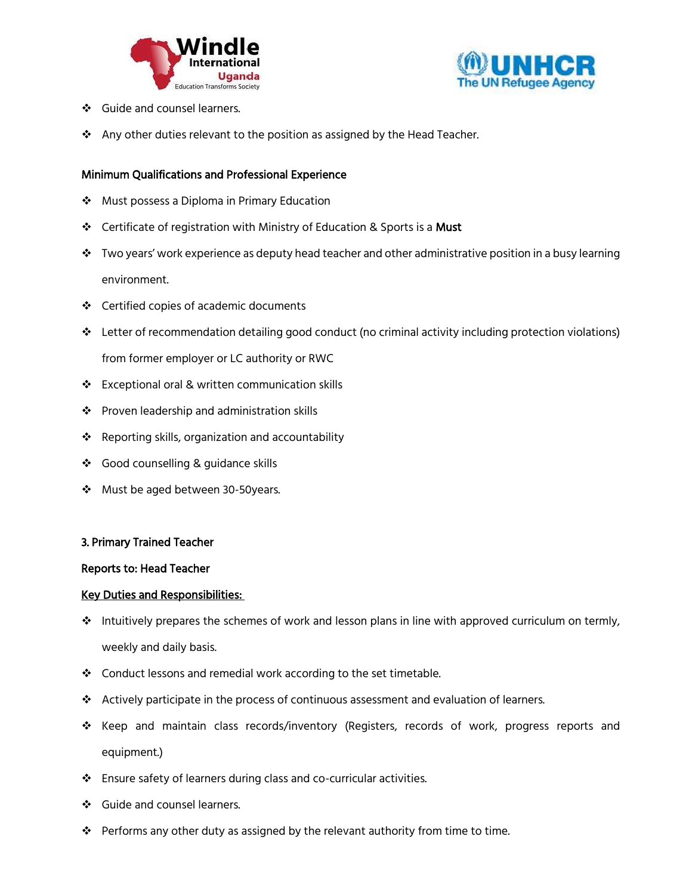



- ❖ Guide and counsel learners.
- ❖ Any other duties relevant to the position as assigned by the Head Teacher.

### Minimum Qualifications and Professional Experience

- ❖ Must possess a Diploma in Primary Education
- ❖ Certificate of registration with Ministry of Education & Sports is a Must
- $\clubsuit$  Two years' work experience as deputy head teacher and other administrative position in a busy learning environment.
- Certified copies of academic documents
- Letter of recommendation detailing good conduct (no criminal activity including protection violations) from former employer or LC authority or RWC
- Exceptional oral & written communication skills
- ❖ Proven leadership and administration skills
- ❖ Reporting skills, organization and accountability
- ❖ Good counselling & guidance skills
- ❖ Must be aged between 30-50years.

#### 3. Primary Trained Teacher

#### Reports to: Head Teacher

#### Key Duties and Responsibilities:

- $\cdot \cdot$  Intuitively prepares the schemes of work and lesson plans in line with approved curriculum on termly, weekly and daily basis.
- Conduct lessons and remedial work according to the set timetable.
- $\triangle$  Actively participate in the process of continuous assessment and evaluation of learners.
- Keep and maintain class records/inventory (Registers, records of work, progress reports and equipment.)
- Ensure safety of learners during class and co-curricular activities.
- ❖ Guide and counsel learners.
- $\clubsuit$  Performs any other duty as assigned by the relevant authority from time to time.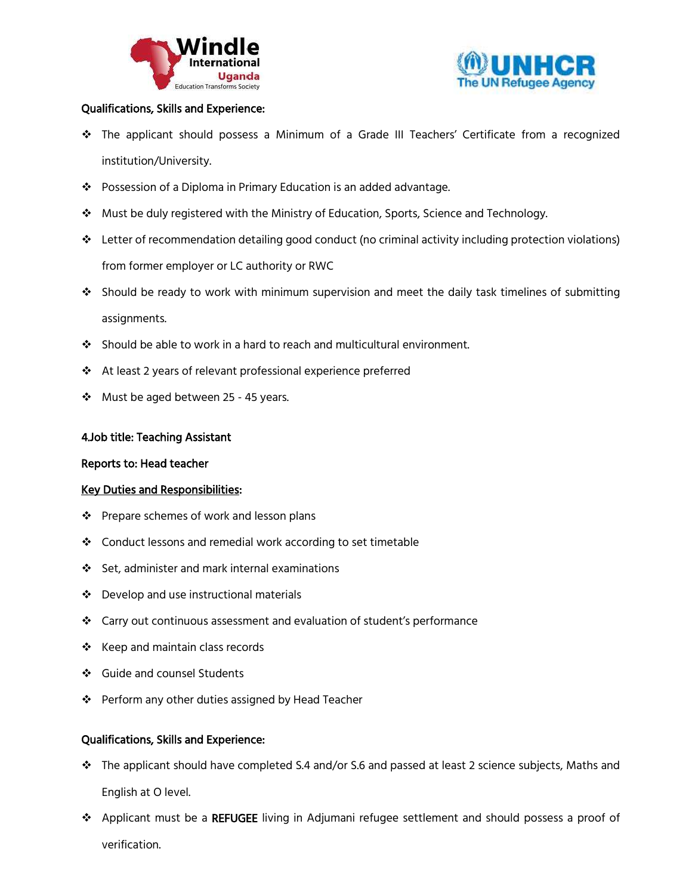



## Qualifications, Skills and Experience:

- The applicant should possess a Minimum of a Grade III Teachers' Certificate from a recognized institution/University.
- Possession of a Diploma in Primary Education is an added advantage.
- Must be duly registered with the Ministry of Education, Sports, Science and Technology.
- Letter of recommendation detailing good conduct (no criminal activity including protection violations) from former employer or LC authority or RWC
- Should be ready to work with minimum supervision and meet the daily task timelines of submitting assignments.
- Should be able to work in a hard to reach and multicultural environment.
- At least 2 years of relevant professional experience preferred
- Must be aged between 25 45 years.

### 4.Job title: Teaching Assistant

### Reports to: Head teacher

### Key Duties and Responsibilities:

- ❖ Prepare schemes of work and lesson plans
- ❖ Conduct lessons and remedial work according to set timetable
- Set, administer and mark internal examinations
- ❖ Develop and use instructional materials
- Carry out continuous assessment and evaluation of student's performance
- ❖ Keep and maintain class records
- ❖ Guide and counsel Students
- ❖ Perform any other duties assigned by Head Teacher

### Qualifications, Skills and Experience:

- $\cdot \cdot$  The applicant should have completed S.4 and/or S.6 and passed at least 2 science subjects, Maths and English at O level.
- Applicant must be a REFUGEE living in Adjumani refugee settlement and should possess a proof of verification.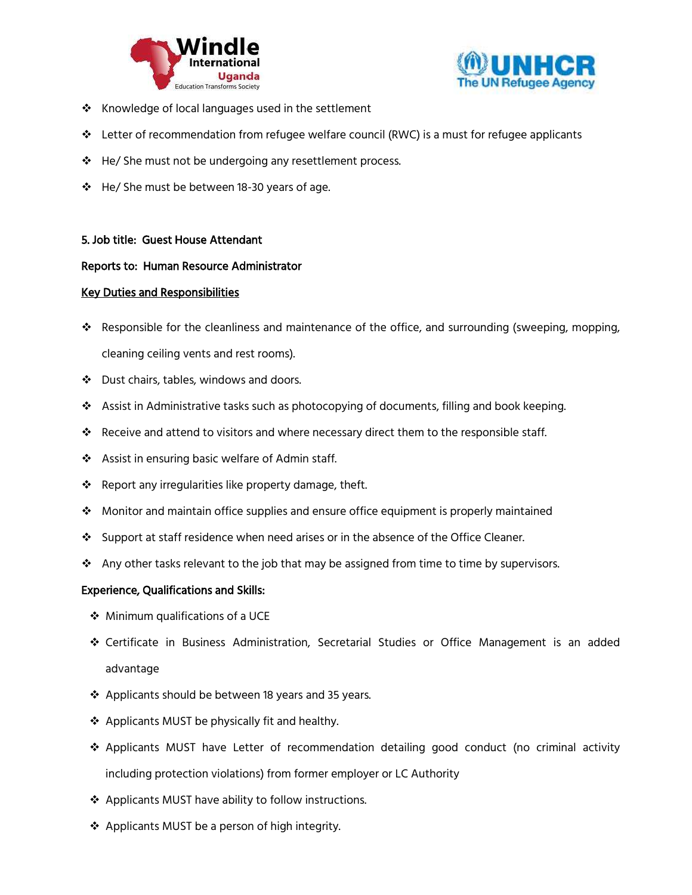



- $\clubsuit$  Knowledge of local languages used in the settlement
- $\div$  Letter of recommendation from refugee welfare council (RWC) is a must for refugee applicants
- ❖ He/ She must not be undergoing any resettlement process.
- $\div$  He/ She must be between 18-30 years of age.

### 5. Job title: Guest House Attendant

### Reports to: Human Resource Administrator

### Key Duties and Responsibilities

- Responsible for the cleanliness and maintenance of the office, and surrounding (sweeping, mopping, cleaning ceiling vents and rest rooms).
- Dust chairs, tables, windows and doors.
- Assist in Administrative tasks such as photocopying of documents, filling and book keeping.
- Receive and attend to visitors and where necessary direct them to the responsible staff.
- ❖ Assist in ensuring basic welfare of Admin staff.
- ❖ Report any irregularities like property damage, theft.
- $\div$  Monitor and maintain office supplies and ensure office equipment is properly maintained
- $\div$  Support at staff residence when need arises or in the absence of the Office Cleaner.
- $\clubsuit$  Any other tasks relevant to the job that may be assigned from time to time by supervisors.

#### Experience, Qualifications and Skills:

- Minimum qualifications of a UCE
- Certificate in Business Administration, Secretarial Studies or Office Management is an added advantage
- ❖ Applicants should be between 18 years and 35 years.
- ❖ Applicants MUST be physically fit and healthy.
- Applicants MUST have Letter of recommendation detailing good conduct (no criminal activity including protection violations) from former employer or LC Authority
- ❖ Applicants MUST have ability to follow instructions.
- ❖ Applicants MUST be a person of high integrity.